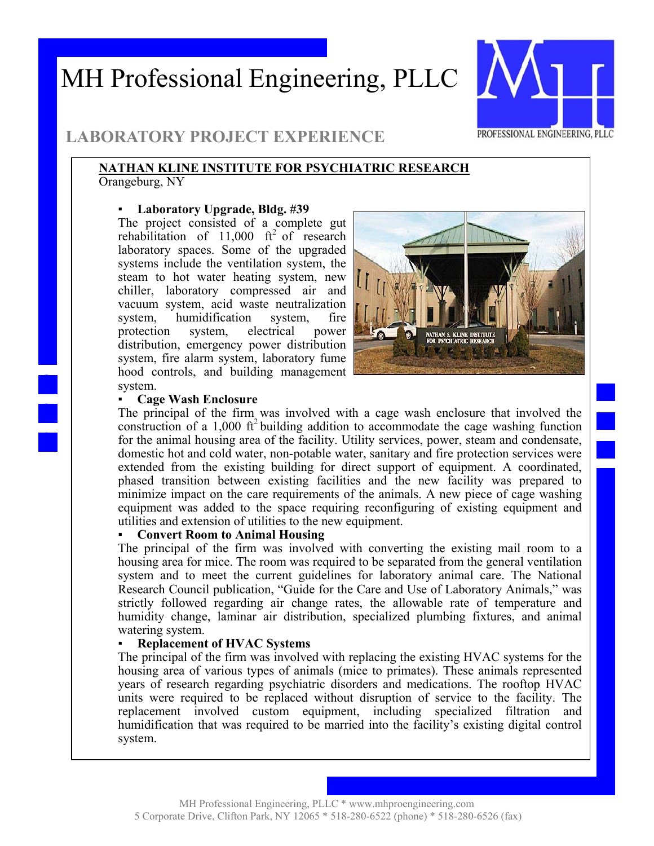## MH Professional Engineering, PLLC



### **LABORATORY PROJECT EXPERIENCE**

#### **NATHAN KLINE INSTITUTE FOR PSYCHIATRIC RESEARCH**  Orangeburg, NY

#### ▪ **Laboratory Upgrade, Bldg. #39**

The project consisted of a complete gut rehabilitation of  $11,000$  ft<sup>2</sup> of research laboratory spaces. Some of the upgraded systems include the ventilation system, the steam to hot water heating system, new chiller, laboratory compressed air and vacuum system, acid waste neutralization system, humidification system, fire protection system, electrical power distribution, emergency power distribution system, fire alarm system, laboratory fume hood controls, and building management system.



#### **Cage Wash Enclosure**

The principal of the firm was involved with a cage wash enclosure that involved the construction of a 1,000  $\rm ft^2$  building addition to accommodate the cage washing function for the animal housing area of the facility. Utility services, power, steam and condensate, domestic hot and cold water, non-potable water, sanitary and fire protection services were extended from the existing building for direct support of equipment. A coordinated, phased transition between existing facilities and the new facility was prepared to minimize impact on the care requirements of the animals. A new piece of cage washing equipment was added to the space requiring reconfiguring of existing equipment and utilities and extension of utilities to the new equipment.

#### **Convert Room to Animal Housing**

The principal of the firm was involved with converting the existing mail room to a housing area for mice. The room was required to be separated from the general ventilation system and to meet the current guidelines for laboratory animal care. The National Research Council publication, "Guide for the Care and Use of Laboratory Animals," was strictly followed regarding air change rates, the allowable rate of temperature and humidity change, laminar air distribution, specialized plumbing fixtures, and animal watering system.

#### **Replacement of HVAC Systems**

The principal of the firm was involved with replacing the existing HVAC systems for the housing area of various types of animals (mice to primates). These animals represented years of research regarding psychiatric disorders and medications. The rooftop HVAC units were required to be replaced without disruption of service to the facility. The replacement involved custom equipment, including specialized filtration and humidification that was required to be married into the facility's existing digital control system.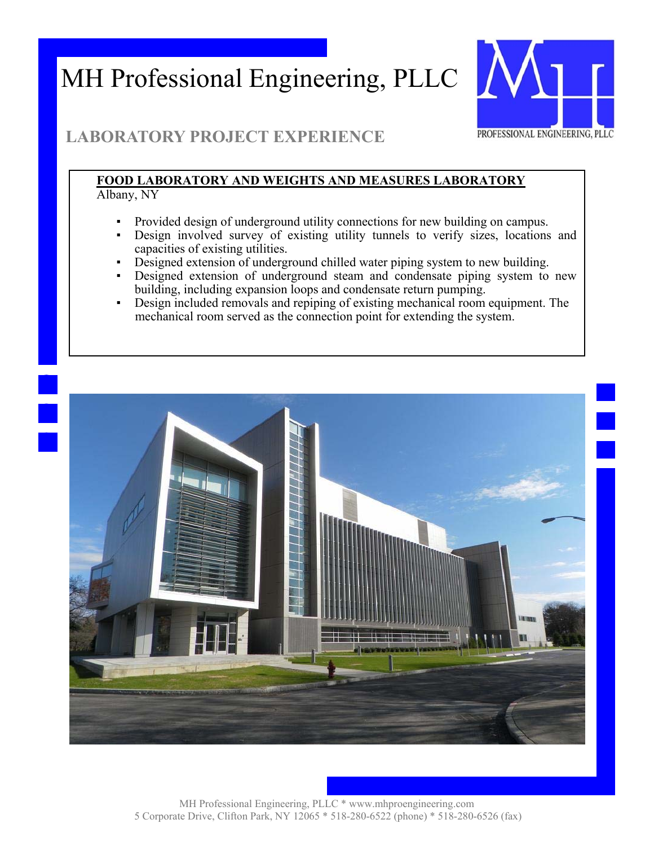# MH Professional Engineering, PLLC



## **LABORATORY PROJECT EXPERIENCE**

#### **FOOD LABORATORY AND WEIGHTS AND MEASURES LABORATORY**  Albany, NY

- Provided design of underground utility connections for new building on campus.
- Design involved survey of existing utility tunnels to verify sizes, locations and capacities of existing utilities.
- Designed extension of underground chilled water piping system to new building.
- Designed extension of underground steam and condensate piping system to new building, including expansion loops and condensate return pumping.
- Design included removals and repiping of existing mechanical room equipment. The mechanical room served as the connection point for extending the system.